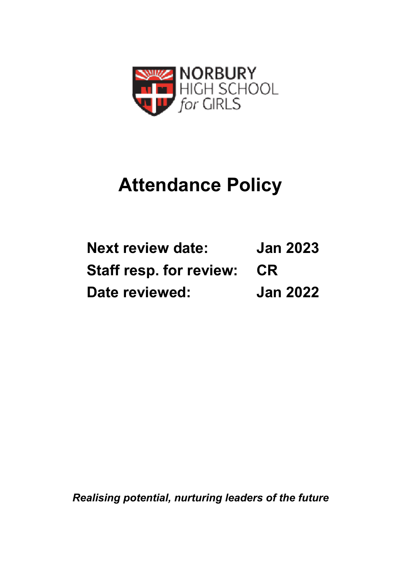

# **Attendance Policy**

| <b>Next review date:</b>          | <b>Jan 2023</b> |
|-----------------------------------|-----------------|
| <b>Staff resp. for review: CR</b> |                 |
| Date reviewed:                    | <b>Jan 2022</b> |

*Realising potential, nurturing leaders of the future*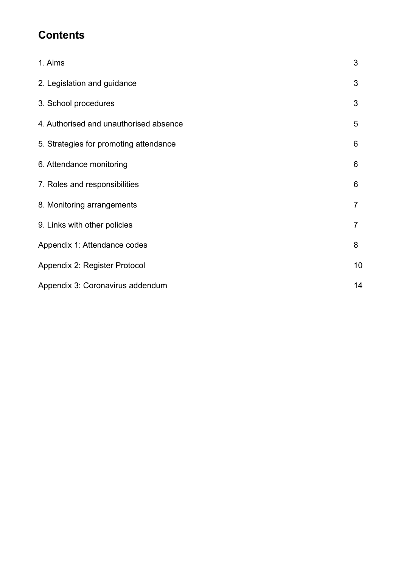# **Contents**

| 1. Aims                                | 3              |
|----------------------------------------|----------------|
| 2. Legislation and guidance            | 3              |
| 3. School procedures                   | 3              |
| 4. Authorised and unauthorised absence | 5              |
| 5. Strategies for promoting attendance | 6              |
| 6. Attendance monitoring               | 6              |
| 7. Roles and responsibilities          | 6              |
| 8. Monitoring arrangements             | $\overline{7}$ |
| 9. Links with other policies           | $\overline{7}$ |
| Appendix 1: Attendance codes           | 8              |
| Appendix 2: Register Protocol          | 10             |
| Appendix 3: Coronavirus addendum       | 14             |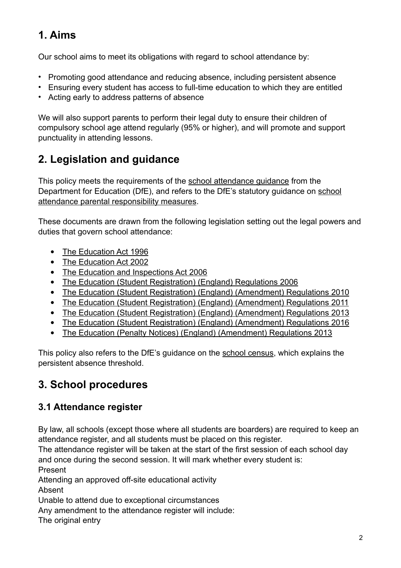# **1. Aims**

Our school aims to meet its obligations with regard to school attendance by:

- Promoting good attendance and reducing absence, including persistent absence
- Ensuring every student has access to full-time education to which they are entitled
- Acting early to address patterns of absence

We will also support parents to perform their legal duty to ensure their children of compulsory school age attend regularly (95% or higher), and will promote and support punctuality in attending lessons.

# **2. Legislation and guidance**

This policy meets the requirements of the [school attendance guidance](https://www.gov.uk/government/publications/school-attendance) from the Department for Education (DfE), and refers to the DfE's statutory guidance on [school](https://www.gov.uk/government/publications/parental-responsibility-measures-for-behaviour-and-attendance)  [attendance parental responsibility measures.](https://www.gov.uk/government/publications/parental-responsibility-measures-for-behaviour-and-attendance)

These documents are drawn from the following legislation setting out the legal powers and duties that govern school attendance:

- [The Education Act 1996](https://www.legislation.gov.uk/ukpga/1996/56/part/VI/chapter/II)
- [The Education Act 2002](http://www.legislation.gov.uk/ukpga/2002/32/part/3/chapter/3)
- The Education and Inspections Act 2006
- [The Education \(Student Registration\) \(England\) Regulations 2006](http://www.legislation.gov.uk/uksi/2006/1751/contents/made)
- [The Education \(Student Registration\) \(England\) \(Amendment\) Regulations 2010](http://www.centralbedfordshire.gov.uk/Images/amendment-regulation-2010_tcm3-8642.pdf)
- [The Education \(Student Registration\) \(England\) \(Amendment\) Regulations 2011](http://www.legislation.gov.uk/uksi/2011/1625/made)
- [The Education \(Student Registration\) \(England\) \(Amendment\) Regulations 2013](http://www.legislation.gov.uk/uksi/2013/756/made)
- [The Education \(Student Registration\) \(England\) \(Amendment\) Regulations 2016](http://legislation.data.gov.uk/uksi/2016/792/made/data.html)
- The Education (Penalty Notices) (England) (Amendment) Regulations 2013

This policy also refers to the DfE's guidance on the [school census](https://www.gov.uk/government/publications/school-census-2017-to-2018-guide-for-schools-and-las), which explains the persistent absence threshold.

# **3. School procedures**

# **3.1 Attendance register**

By law, all schools (except those where all students are boarders) are required to keep an attendance register, and all students must be placed on this register.

The attendance register will be taken at the start of the first session of each school day and once during the second session. It will mark whether every student is:

Present

Attending an approved off-site educational activity

Absent

Unable to attend due to exceptional circumstances

Any amendment to the attendance register will include:

The original entry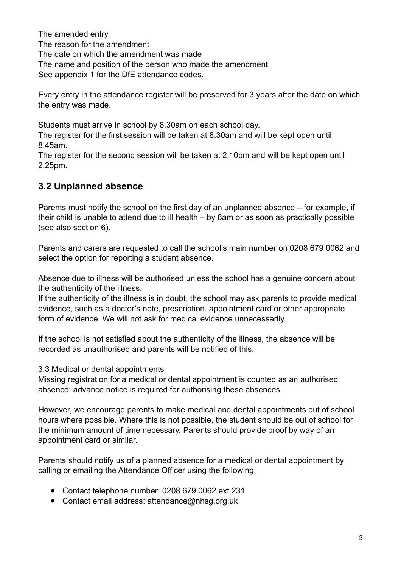The amended entry The reason for the amendment The date on which the amendment was made The name and position of the person who made the amendment See appendix 1 for the DfE attendance codes.

Every entry in the attendance register will be preserved for 3 years after the date on which the entry was made.

Students must arrive in school by 8.30am on each school day.

The register for the first session will be taken at 8.30am and will be kept open until 8.45am.

The register for the second session will be taken at 2.10pm and will be kept open until 2.25pm.

### **3.2 Unplanned absence**

Parents must notify the school on the first day of an unplanned absence – for example, if their child is unable to attend due to ill health – by 8am or as soon as practically possible (see also section 6).

Parents and carers are requested to call the school's main number on 0208 679 0062 and select the option for reporting a student absence.

Absence due to illness will be authorised unless the school has a genuine concern about the authenticity of the illness.

If the authenticity of the illness is in doubt, the school may ask parents to provide medical evidence, such as a doctor's note, prescription, appointment card or other appropriate form of evidence. We will not ask for medical evidence unnecessarily.

If the school is not satisfied about the authenticity of the illness, the absence will be recorded as unauthorised and parents will be notified of this.

3.3 Medical or dental appointments

Missing registration for a medical or dental appointment is counted as an authorised absence; advance notice is required for authorising these absences.

However, we encourage parents to make medical and dental appointments out of school hours where possible. Where this is not possible, the student should be out of school for the minimum amount of time necessary. Parents should provide proof by way of an appointment card or similar.

Parents should notify us of a planned absence for a medical or dental appointment by calling or emailing the Attendance Officer using the following:

- Contact telephone number: 0208 679 0062 ext 231
- Contact email address: attendance@nhsg.org.uk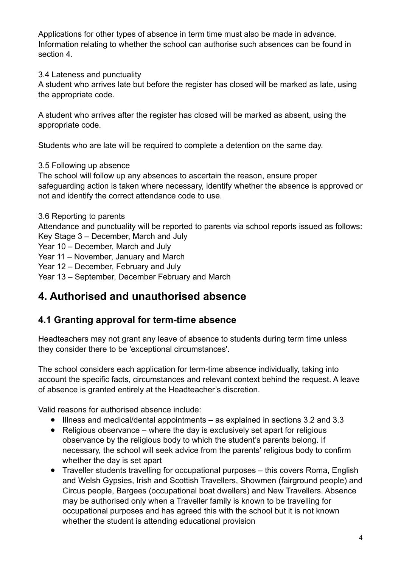Applications for other types of absence in term time must also be made in advance. Information relating to whether the school can authorise such absences can be found in section 4.

3.4 Lateness and punctuality

A student who arrives late but before the register has closed will be marked as late, using the appropriate code.

A student who arrives after the register has closed will be marked as absent, using the appropriate code.

Students who are late will be required to complete a detention on the same day.

#### 3.5 Following up absence

The school will follow up any absences to ascertain the reason, ensure proper safeguarding action is taken where necessary, identify whether the absence is approved or not and identify the correct attendance code to use.

3.6 Reporting to parents

Attendance and punctuality will be reported to parents via school reports issued as follows: Key Stage 3 – December, March and July

Year 10 – December, March and July

Year 11 – November, January and March

Year 12 – December, February and July

Year 13 – September, December February and March

# **4. Authorised and unauthorised absence**

### **4.1 Granting approval for term-time absence**

Headteachers may not grant any leave of absence to students during term time unless they consider there to be 'exceptional circumstances'.

The school considers each application for term-time absence individually, taking into account the specific facts, circumstances and relevant context behind the request. A leave of absence is granted entirely at the Headteacher's discretion.

Valid reasons for authorised absence include:

- Illness and medical/dental appointments as explained in sections 3.2 and 3.3
- Religious observance where the day is exclusively set apart for religious observance by the religious body to which the student's parents belong. If necessary, the school will seek advice from the parents' religious body to confirm whether the day is set apart
- Traveller students travelling for occupational purposes this covers Roma, English and Welsh Gypsies, Irish and Scottish Travellers, Showmen (fairground people) and Circus people, Bargees (occupational boat dwellers) and New Travellers. Absence may be authorised only when a Traveller family is known to be travelling for occupational purposes and has agreed this with the school but it is not known whether the student is attending educational provision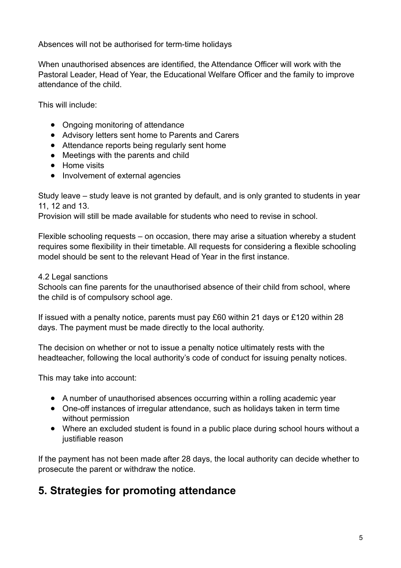Absences will not be authorised for term-time holidays

When unauthorised absences are identified, the Attendance Officer will work with the Pastoral Leader, Head of Year, the Educational Welfare Officer and the family to improve attendance of the child.

This will include:

- Ongoing monitoring of attendance
- Advisory letters sent home to Parents and Carers
- Attendance reports being regularly sent home
- Meetings with the parents and child
- Home visits
- Involvement of external agencies

Study leave – study leave is not granted by default, and is only granted to students in year 11, 12 and 13.

Provision will still be made available for students who need to revise in school.

Flexible schooling requests – on occasion, there may arise a situation whereby a student requires some flexibility in their timetable. All requests for considering a flexible schooling model should be sent to the relevant Head of Year in the first instance.

#### 4.2 Legal sanctions

Schools can fine parents for the unauthorised absence of their child from school, where the child is of compulsory school age.

If issued with a penalty notice, parents must pay £60 within 21 days or £120 within 28 days. The payment must be made directly to the local authority.

The decision on whether or not to issue a penalty notice ultimately rests with the headteacher, following the local authority's code of conduct for issuing penalty notices.

This may take into account:

- A number of unauthorised absences occurring within a rolling academic year
- One-off instances of irregular attendance, such as holidays taken in term time without permission
- Where an excluded student is found in a public place during school hours without a justifiable reason

If the payment has not been made after 28 days, the local authority can decide whether to prosecute the parent or withdraw the notice.

# **5. Strategies for promoting attendance**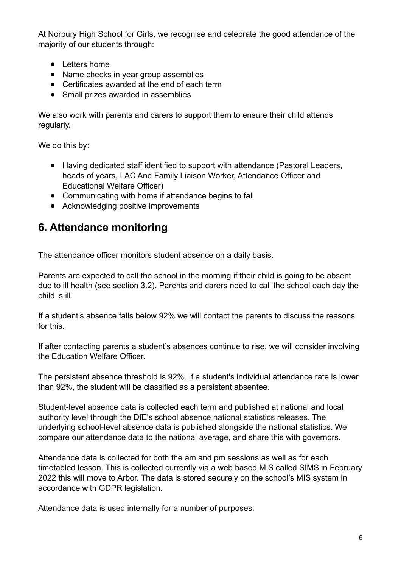At Norbury High School for Girls, we recognise and celebrate the good attendance of the majority of our students through:

- Letters home
- Name checks in year group assemblies
- Certificates awarded at the end of each term
- Small prizes awarded in assemblies

We also work with parents and carers to support them to ensure their child attends regularly.

We do this by:

- Having dedicated staff identified to support with attendance (Pastoral Leaders, heads of years, LAC And Family Liaison Worker, Attendance Officer and Educational Welfare Officer)
- Communicating with home if attendance begins to fall
- Acknowledging positive improvements

# **6. Attendance monitoring**

The attendance officer monitors student absence on a daily basis.

Parents are expected to call the school in the morning if their child is going to be absent due to ill health (see section 3.2). Parents and carers need to call the school each day the child is ill.

If a student's absence falls below 92% we will contact the parents to discuss the reasons for this.

If after contacting parents a student's absences continue to rise, we will consider involving the Education Welfare Officer.

The persistent absence threshold is 92%. If a student's individual attendance rate is lower than 92%, the student will be classified as a persistent absentee.

Student-level absence data is collected each term and published at national and local authority level through the DfE's school absence national statistics releases. The underlying school-level absence data is published alongside the national statistics. We compare our attendance data to the national average, and share this with governors.

Attendance data is collected for both the am and pm sessions as well as for each timetabled lesson. This is collected currently via a web based MIS called SIMS in February 2022 this will move to Arbor. The data is stored securely on the school's MIS system in accordance with GDPR legislation.

Attendance data is used internally for a number of purposes: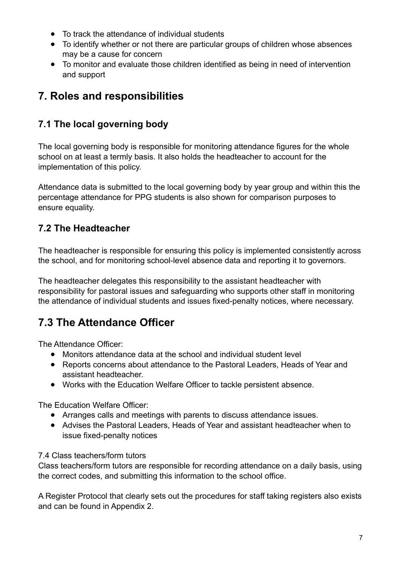- To track the attendance of individual students
- To identify whether or not there are particular groups of children whose absences may be a cause for concern
- To monitor and evaluate those children identified as being in need of intervention and support

# **7. Roles and responsibilities**

## **7.1 The local governing body**

The local governing body is responsible for monitoring attendance figures for the whole school on at least a termly basis. It also holds the headteacher to account for the implementation of this policy.

Attendance data is submitted to the local governing body by year group and within this the percentage attendance for PPG students is also shown for comparison purposes to ensure equality.

### **7.2 The Headteacher**

The headteacher is responsible for ensuring this policy is implemented consistently across the school, and for monitoring school-level absence data and reporting it to governors.

The headteacher delegates this responsibility to the assistant headteacher with responsibility for pastoral issues and safeguarding who supports other staff in monitoring the attendance of individual students and issues fixed-penalty notices, where necessary.

# **7.3 The Attendance Officer**

The Attendance Officer:

- Monitors attendance data at the school and individual student level
- Reports concerns about attendance to the Pastoral Leaders, Heads of Year and assistant headteacher.
- Works with the Education Welfare Officer to tackle persistent absence.

The Education Welfare Officer:

- Arranges calls and meetings with parents to discuss attendance issues.
- Advises the Pastoral Leaders, Heads of Year and assistant headteacher when to issue fixed-penalty notices

#### 7.4 Class teachers/form tutors

Class teachers/form tutors are responsible for recording attendance on a daily basis, using the correct codes, and submitting this information to the school office.

A Register Protocol that clearly sets out the procedures for staff taking registers also exists and can be found in Appendix 2.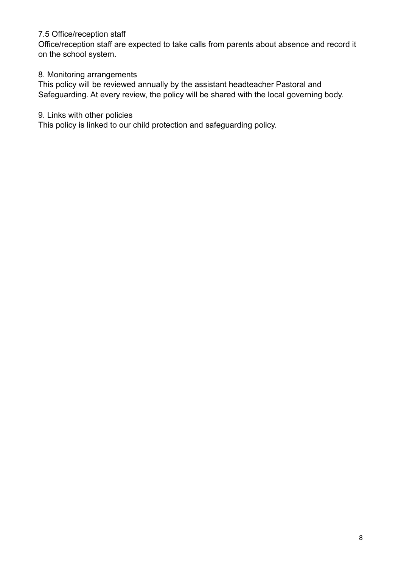#### 7.5 Office/reception staff

Office/reception staff are expected to take calls from parents about absence and record it on the school system.

#### 8. Monitoring arrangements

This policy will be reviewed annually by the assistant headteacher Pastoral and Safeguarding. At every review, the policy will be shared with the local governing body.

#### 9. Links with other policies

This policy is linked to our child protection and safeguarding policy.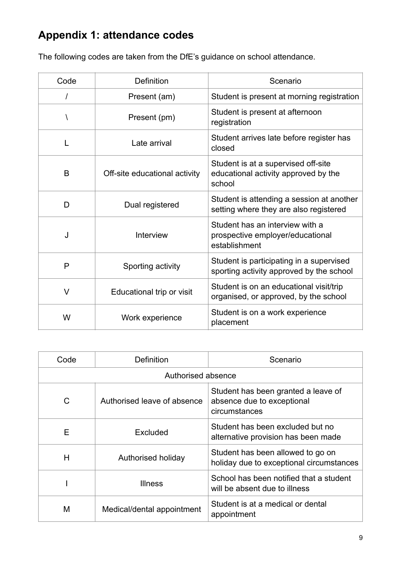# **Appendix 1: attendance codes**

| The following codes are taken from the DfE's guidance on school attendance. |  |  |
|-----------------------------------------------------------------------------|--|--|
|                                                                             |  |  |

| Code     | <b>Definition</b>             | Scenario                                                                              |
|----------|-------------------------------|---------------------------------------------------------------------------------------|
| $\prime$ | Present (am)                  | Student is present at morning registration                                            |
|          | Present (pm)                  | Student is present at afternoon<br>registration                                       |
| L        | Late arrival                  | Student arrives late before register has<br>closed                                    |
| B        | Off-site educational activity | Student is at a supervised off-site<br>educational activity approved by the<br>school |
| D        | Dual registered               | Student is attending a session at another<br>setting where they are also registered   |
| J        | Interview                     | Student has an interview with a<br>prospective employer/educational<br>establishment  |
| P        | Sporting activity             | Student is participating in a supervised<br>sporting activity approved by the school  |
| $\vee$   | Educational trip or visit     | Student is on an educational visit/trip<br>organised, or approved, by the school      |
| W        | Work experience               | Student is on a work experience<br>placement                                          |

| Code               | Definition                  | Scenario                                                                           |  |
|--------------------|-----------------------------|------------------------------------------------------------------------------------|--|
| Authorised absence |                             |                                                                                    |  |
| C                  | Authorised leave of absence | Student has been granted a leave of<br>absence due to exceptional<br>circumstances |  |
| Е                  | Excluded                    | Student has been excluded but no<br>alternative provision has been made            |  |
| H                  | Authorised holiday          | Student has been allowed to go on<br>holiday due to exceptional circumstances      |  |
|                    | <b>Illness</b>              | School has been notified that a student<br>will be absent due to illness           |  |
| М                  | Medical/dental appointment  | Student is at a medical or dental<br>appointment                                   |  |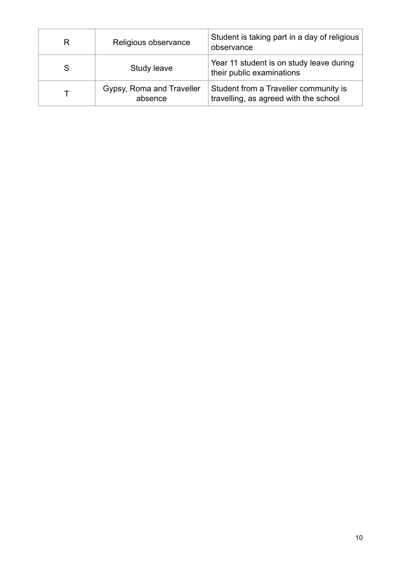| R | Religious observance                 | Student is taking part in a day of religious<br>observance                     |
|---|--------------------------------------|--------------------------------------------------------------------------------|
| S | Study leave                          | Year 11 student is on study leave during<br>their public examinations          |
|   | Gypsy, Roma and Traveller<br>absence | Student from a Traveller community is<br>travelling, as agreed with the school |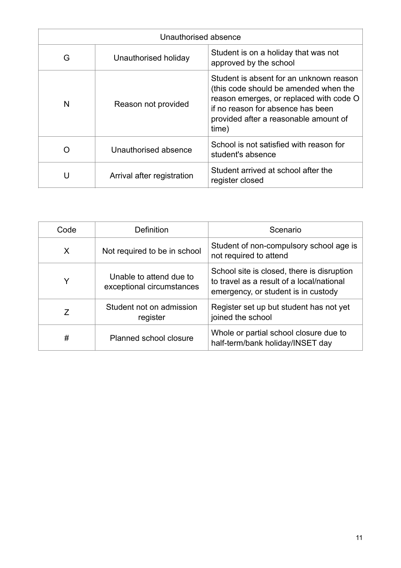| Unauthorised absence |                            |                                                                                                                                                                                                                    |
|----------------------|----------------------------|--------------------------------------------------------------------------------------------------------------------------------------------------------------------------------------------------------------------|
| G                    | Unauthorised holiday       | Student is on a holiday that was not<br>approved by the school                                                                                                                                                     |
| N                    | Reason not provided        | Student is absent for an unknown reason<br>(this code should be amended when the<br>reason emerges, or replaced with code O<br>if no reason for absence has been<br>provided after a reasonable amount of<br>time) |
|                      | Unauthorised absence       | School is not satisfied with reason for<br>student's absence                                                                                                                                                       |
| U                    | Arrival after registration | Student arrived at school after the<br>register closed                                                                                                                                                             |

| Code | Definition                                           | Scenario                                                                                                                       |
|------|------------------------------------------------------|--------------------------------------------------------------------------------------------------------------------------------|
| X    | Not required to be in school                         | Student of non-compulsory school age is<br>not required to attend                                                              |
| Y    | Unable to attend due to<br>exceptional circumstances | School site is closed, there is disruption<br>to travel as a result of a local/national<br>emergency, or student is in custody |
| 7    | Student not on admission<br>register                 | Register set up but student has not yet<br>joined the school                                                                   |
| #    | Planned school closure                               | Whole or partial school closure due to<br>half-term/bank holiday/INSET day                                                     |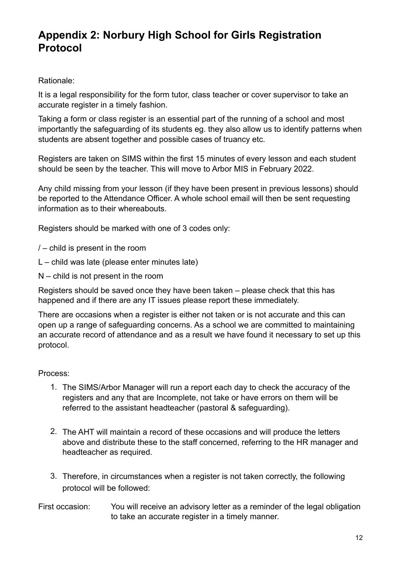# **Appendix 2: Norbury High School for Girls Registration Protocol**

#### Rationale:

It is a legal responsibility for the form tutor, class teacher or cover supervisor to take an accurate register in a timely fashion.

Taking a form or class register is an essential part of the running of a school and most importantly the safeguarding of its students eg. they also allow us to identify patterns when students are absent together and possible cases of truancy etc.

Registers are taken on SIMS within the first 15 minutes of every lesson and each student should be seen by the teacher. This will move to Arbor MIS in February 2022.

Any child missing from your lesson (if they have been present in previous lessons) should be reported to the Attendance Officer. A whole school email will then be sent requesting information as to their whereabouts.

Registers should be marked with one of 3 codes only:

- / child is present in the room
- L child was late (please enter minutes late)
- N child is not present in the room

Registers should be saved once they have been taken – please check that this has happened and if there are any IT issues please report these immediately.

There are occasions when a register is either not taken or is not accurate and this can open up a range of safeguarding concerns. As a school we are committed to maintaining an accurate record of attendance and as a result we have found it necessary to set up this protocol.

#### Process:

- 1. The SIMS/Arbor Manager will run a report each day to check the accuracy of the registers and any that are Incomplete, not take or have errors on them will be referred to the assistant headteacher (pastoral & safeguarding).
- 2. The AHT will maintain a record of these occasions and will produce the letters above and distribute these to the staff concerned, referring to the HR manager and headteacher as required.
- 3. Therefore, in circumstances when a register is not taken correctly, the following protocol will be followed:

First occasion: You will receive an advisory letter as a reminder of the legal obligation to take an accurate register in a timely manner.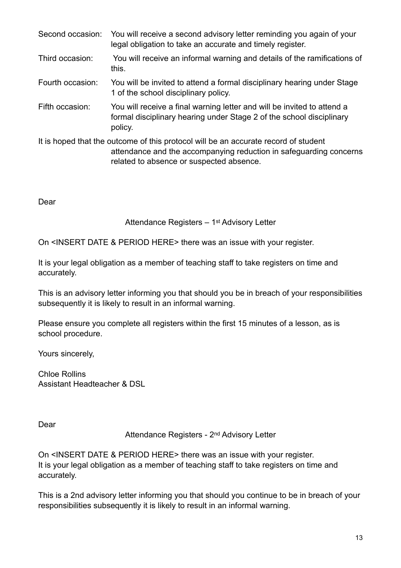- Second occasion: You will receive a second advisory letter reminding you again of your legal obligation to take an accurate and timely register.
- Third occasion: You will receive an informal warning and details of the ramifications of this.
- Fourth occasion: You will be invited to attend a formal disciplinary hearing under Stage 1 of the school disciplinary policy.
- Fifth occasion: You will receive a final warning letter and will be invited to attend a formal disciplinary hearing under Stage 2 of the school disciplinary policy.
- It is hoped that the outcome of this protocol will be an accurate record of student attendance and the accompanying reduction in safeguarding concerns related to absence or suspected absence.

Dear

Attendance Registers – 1<sup>st</sup> Advisory Letter

On <INSERT DATE & PERIOD HERE> there was an issue with your register.

It is your legal obligation as a member of teaching staff to take registers on time and accurately.

This is an advisory letter informing you that should you be in breach of your responsibilities subsequently it is likely to result in an informal warning.

Please ensure you complete all registers within the first 15 minutes of a lesson, as is school procedure.

Yours sincerely,

Chloe Rollins Assistant Headteacher & DSL

Dear

Attendance Registers - 2nd Advisory Letter

On <INSERT DATE & PERIOD HERE> there was an issue with your register. It is your legal obligation as a member of teaching staff to take registers on time and accurately.

This is a 2nd advisory letter informing you that should you continue to be in breach of your responsibilities subsequently it is likely to result in an informal warning.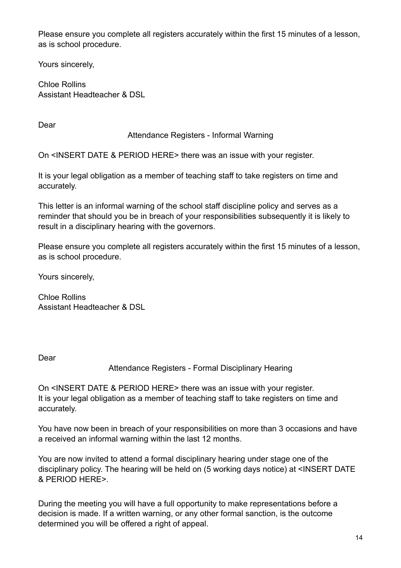Please ensure you complete all registers accurately within the first 15 minutes of a lesson, as is school procedure.

Yours sincerely,

Chloe Rollins Assistant Headteacher & DSL

Dear

#### Attendance Registers - Informal Warning

On <INSERT DATE & PERIOD HERE> there was an issue with your register.

It is your legal obligation as a member of teaching staff to take registers on time and accurately.

This letter is an informal warning of the school staff discipline policy and serves as a reminder that should you be in breach of your responsibilities subsequently it is likely to result in a disciplinary hearing with the governors.

Please ensure you complete all registers accurately within the first 15 minutes of a lesson, as is school procedure.

Yours sincerely,

Chloe Rollins Assistant Headteacher & DSL

Dear

Attendance Registers - Formal Disciplinary Hearing

On <INSERT DATE & PERIOD HERE> there was an issue with your register. It is your legal obligation as a member of teaching staff to take registers on time and accurately.

You have now been in breach of your responsibilities on more than 3 occasions and have a received an informal warning within the last 12 months.

You are now invited to attend a formal disciplinary hearing under stage one of the disciplinary policy. The hearing will be held on (5 working days notice) at <INSERT DATE & PERIOD HERE>.

During the meeting you will have a full opportunity to make representations before a decision is made. If a written warning, or any other formal sanction, is the outcome determined you will be offered a right of appeal.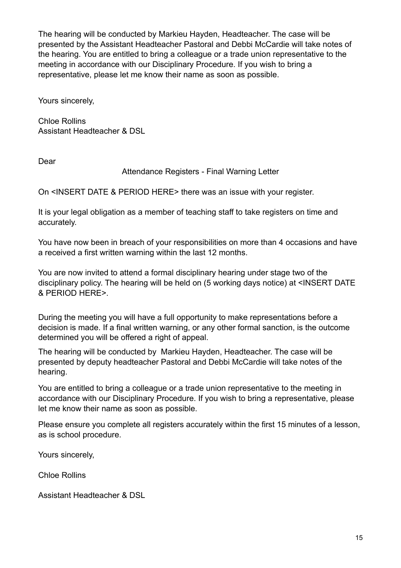The hearing will be conducted by Markieu Hayden, Headteacher. The case will be presented by the Assistant Headteacher Pastoral and Debbi McCardie will take notes of the hearing. You are entitled to bring a colleague or a trade union representative to the meeting in accordance with our Disciplinary Procedure. If you wish to bring a representative, please let me know their name as soon as possible.

Yours sincerely,

Chloe Rollins Assistant Headteacher & DSL

Dear

Attendance Registers - Final Warning Letter

On <INSERT DATE & PERIOD HERE> there was an issue with your register.

It is your legal obligation as a member of teaching staff to take registers on time and accurately.

You have now been in breach of your responsibilities on more than 4 occasions and have a received a first written warning within the last 12 months.

You are now invited to attend a formal disciplinary hearing under stage two of the disciplinary policy. The hearing will be held on (5 working days notice) at <INSERT DATE & PERIOD HERE>.

During the meeting you will have a full opportunity to make representations before a decision is made. If a final written warning, or any other formal sanction, is the outcome determined you will be offered a right of appeal.

The hearing will be conducted by Markieu Hayden, Headteacher. The case will be presented by deputy headteacher Pastoral and Debbi McCardie will take notes of the hearing.

You are entitled to bring a colleague or a trade union representative to the meeting in accordance with our Disciplinary Procedure. If you wish to bring a representative, please let me know their name as soon as possible.

Please ensure you complete all registers accurately within the first 15 minutes of a lesson, as is school procedure.

Yours sincerely,

Chloe Rollins

Assistant Headteacher & DSL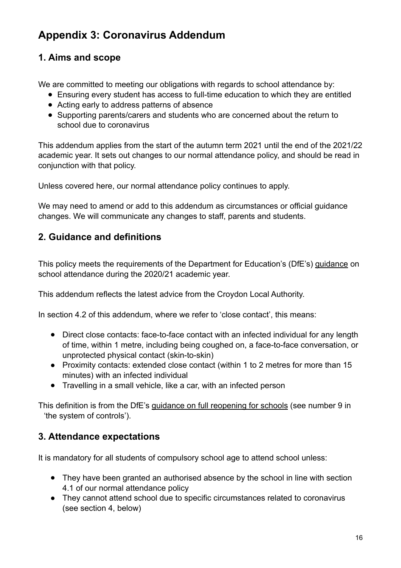# **Appendix 3: Coronavirus Addendum**

## **1. Aims and scope**

We are committed to meeting our obligations with regards to school attendance by:

- Ensuring every student has access to full-time education to which they are entitled
- Acting early to address patterns of absence
- Supporting parents/carers and students who are concerned about the return to school due to coronavirus

This addendum applies from the start of the autumn term 2021 until the end of the 2021/22 academic year. It sets out changes to our normal attendance policy, and should be read in conjunction with that policy.

Unless covered here, our normal attendance policy continues to apply.

We may need to amend or add to this addendum as circumstances or official guidance changes. We will communicate any changes to staff, parents and students.

### **2. Guidance and definitions**

This policy meets the requirements of the Department for Education's (DfE's) [guidance](https://www.gov.uk/government/publications/school-attendance/addendum-recording-attendance-in-relation-to-coronavirus-covid-19-during-the-2020-to-2021-academic-year) on school attendance during the 2020/21 academic year.

This addendum reflects the latest advice from the Croydon Local Authority.

In section 4.2 of this addendum, where we refer to 'close contact', this means:

- Direct close contacts: face-to-face contact with an infected individual for any length of time, within 1 metre, including being coughed on, a face-to-face conversation, or unprotected physical contact (skin-to-skin)
- Proximity contacts: extended close contact (within 1 to 2 metres for more than 15 minutes) with an infected individual
- Travelling in a small vehicle, like a car, with an infected person

This definition is from the DfE's [guidance on full reopening for schools](https://www.gov.uk/government/publications/actions-for-schools-during-the-coronavirus-outbreak/guidance-for-full-opening-schools) (see number 9 in 'the system of controls').

### **3. Attendance expectations**

It is mandatory for all students of compulsory school age to attend school unless:

- They have been granted an authorised absence by the school in line with section 4.1 of our normal attendance policy
- They cannot attend school due to specific circumstances related to coronavirus (see section 4, below)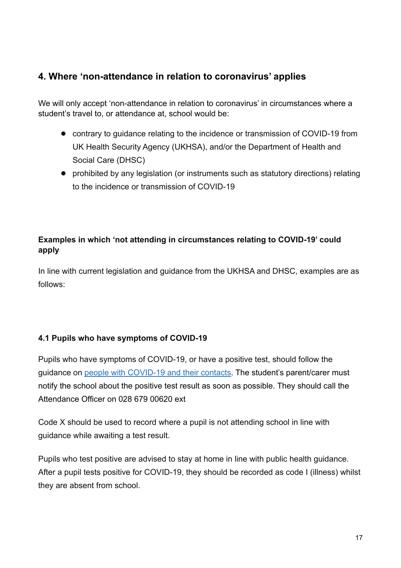### **4. Where 'non-attendance in relation to coronavirus' applies**

We will only accept 'non-attendance in relation to coronavirus' in circumstances where a student's travel to, or attendance at, school would be:

- contrary to quidance relating to the incidence or transmission of COVID-19 from UK Health Security Agency (UKHSA), and/or the Department of Health and Social Care (DHSC)
- prohibited by any legislation (or instruments such as statutory directions) relating to the incidence or transmission of COVID-19

#### **Examples in which 'not attending in circumstances relating to COVID-19' could apply**

In line with current legislation and guidance from the UKHSA and DHSC, examples are as follows:

#### **4.1 Pupils who have symptoms of COVID-19**

Pupils who have symptoms of COVID-19, or have a positive test, should follow the guidance on [people with COVID-19 and their contacts.](https://www.gov.uk/government/publications/covid-19-people-with-covid-19-and-their-contacts) The student's parent/carer must notify the school about the positive test result as soon as possible. They should call the Attendance Officer on 028 679 00620 ext

Code X should be used to record where a pupil is not attending school in line with guidance while awaiting a test result.

Pupils who test positive are advised to stay at home in line with public health guidance. After a pupil tests positive for COVID-19, they should be recorded as code I (illness) whilst they are absent from school.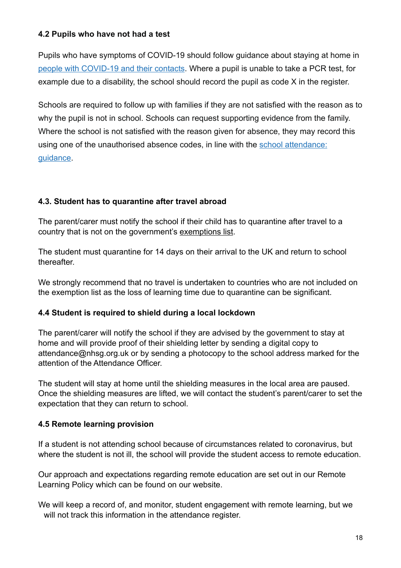#### **4.2 Pupils who have not had a test**

Pupils who have symptoms of COVID-19 should follow guidance about staying at home in [people with COVID-19 and their contacts](https://www.gov.uk/government/publications/covid-19-people-with-covid-19-and-their-contacts). Where a pupil is unable to take a PCR test, for example due to a disability, the school should record the pupil as code X in the register.

Schools are required to follow up with families if they are not satisfied with the reason as to why the pupil is not in school. Schools can request supporting evidence from the family. Where the school is not satisfied with the reason given for absence, they may record this using one of the unauthorised absence codes, in line with the [school attendance:](https://www.gov.uk/government/publications/school-attendance)  [guidance](https://www.gov.uk/government/publications/school-attendance).

#### **4.3. Student has to quarantine after travel abroad**

The parent/carer must notify the school if their child has to quarantine after travel to a country that is not on the government's [exemptions list.](https://www.gov.uk/guidance/coronavirus-covid-19-travel-corridors%23countries-and-territories-with-no-self-isolation-requirement-on-arrival-in-england)

The student must quarantine for 14 days on their arrival to the UK and return to school thereafter.

We strongly recommend that no travel is undertaken to countries who are not included on the exemption list as the loss of learning time due to quarantine can be significant.

#### **4.4 Student is required to shield during a local lockdown**

The parent/carer will notify the school if they are advised by the government to stay at home and will provide proof of their shielding letter by sending a digital copy to attendance@nhsg.org.uk or by sending a photocopy to the school address marked for the attention of the Attendance Officer.

The student will stay at home until the shielding measures in the local area are paused. Once the shielding measures are lifted, we will contact the student's parent/carer to set the expectation that they can return to school.

#### **4.5 Remote learning provision**

If a student is not attending school because of circumstances related to coronavirus, but where the student is not ill, the school will provide the student access to remote education.

Our approach and expectations regarding remote education are set out in our Remote Learning Policy which can be found on our website.

We will keep a record of, and monitor, student engagement with remote learning, but we will not track this information in the attendance register.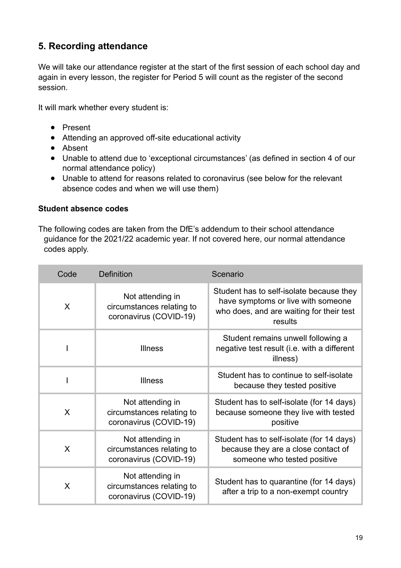## **5. Recording attendance**

We will take our attendance register at the start of the first session of each school day and again in every lesson, the register for Period 5 will count as the register of the second session.

It will mark whether every student is:

- Present
- Attending an approved off-site educational activity
- Absent
- Unable to attend due to 'exceptional circumstances' (as defined in section 4 of our normal attendance policy)
- Unable to attend for reasons related to coronavirus (see below for the relevant absence codes and when we will use them)

#### **Student absence codes**

The following codes are taken from the DfE's addendum to their school attendance guidance for the 2021/22 academic year. If not covered here, our normal attendance codes apply.

| Code | <b>Definition</b>                                                       | Scenario                                                                                                                              |
|------|-------------------------------------------------------------------------|---------------------------------------------------------------------------------------------------------------------------------------|
| X    | Not attending in<br>circumstances relating to<br>coronavirus (COVID-19) | Student has to self-isolate because they<br>have symptoms or live with someone<br>who does, and are waiting for their test<br>results |
|      | <b>Illness</b>                                                          | Student remains unwell following a<br>negative test result (i.e. with a different<br>illness)                                         |
|      | <b>Illness</b>                                                          | Student has to continue to self-isolate<br>because they tested positive                                                               |
| X    | Not attending in<br>circumstances relating to<br>coronavirus (COVID-19) | Student has to self-isolate (for 14 days)<br>because someone they live with tested<br>positive                                        |
| X    | Not attending in<br>circumstances relating to<br>coronavirus (COVID-19) | Student has to self-isolate (for 14 days)<br>because they are a close contact of<br>someone who tested positive                       |
| X    | Not attending in<br>circumstances relating to<br>coronavirus (COVID-19) | Student has to quarantine (for 14 days)<br>after a trip to a non-exempt country                                                       |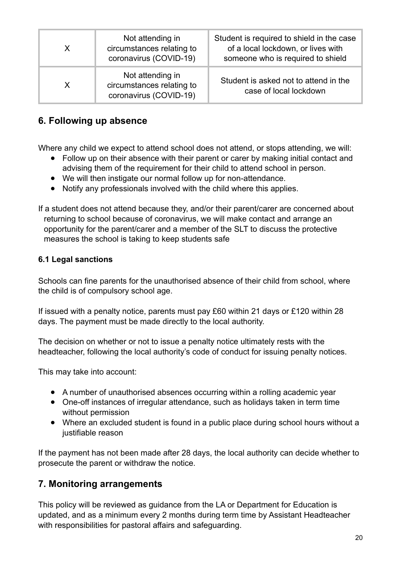| X | Not attending in<br>circumstances relating to<br>coronavirus (COVID-19) | Student is required to shield in the case<br>of a local lockdown, or lives with<br>someone who is required to shield |
|---|-------------------------------------------------------------------------|----------------------------------------------------------------------------------------------------------------------|
| X | Not attending in<br>circumstances relating to<br>coronavirus (COVID-19) | Student is asked not to attend in the<br>case of local lockdown                                                      |

### **6. Following up absence**

Where any child we expect to attend school does not attend, or stops attending, we will:

- Follow up on their absence with their parent or carer by making initial contact and advising them of the requirement for their child to attend school in person.
- We will then instigate our normal follow up for non-attendance.
- Notify any professionals involved with the child where this applies.

If a student does not attend because they, and/or their parent/carer are concerned about returning to school because of coronavirus, we will make contact and arrange an opportunity for the parent/carer and a member of the SLT to discuss the protective measures the school is taking to keep students safe

#### **6.1 Legal sanctions**

Schools can fine parents for the unauthorised absence of their child from school, where the child is of compulsory school age.

If issued with a penalty notice, parents must pay £60 within 21 days or £120 within 28 days. The payment must be made directly to the local authority.

The decision on whether or not to issue a penalty notice ultimately rests with the headteacher, following the local authority's code of conduct for issuing penalty notices.

This may take into account:

- A number of unauthorised absences occurring within a rolling academic year
- One-off instances of irregular attendance, such as holidays taken in term time without permission
- Where an excluded student is found in a public place during school hours without a justifiable reason

If the payment has not been made after 28 days, the local authority can decide whether to prosecute the parent or withdraw the notice.

### **7. Monitoring arrangements**

This policy will be reviewed as guidance from the LA or Department for Education is updated, and as a minimum every 2 months during term time by Assistant Headteacher with responsibilities for pastoral affairs and safeguarding.